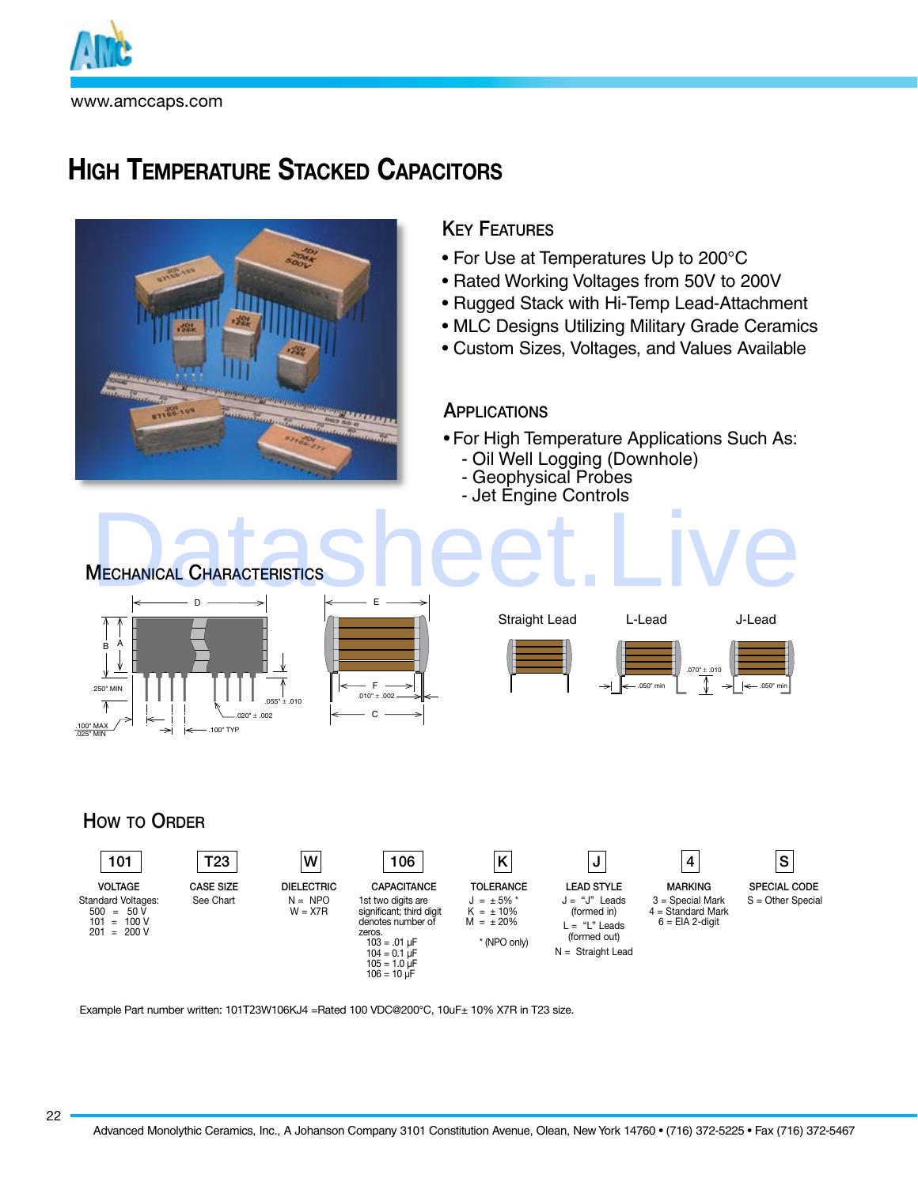

# **High Temperature Stacked Capacitors**



## **KEY FEATURES**

- For Use at Temperatures Up to 200°C
- Rated Working Voltages from 50V to 200V
- Rugged Stack with Hi-Temp Lead-Attachment
- MLC Designs Utilizing Military Grade Ceramics
- Custom Sizes, Voltages, and Values Available

## **APPLICATIONS**

- For High Temperature Applications Such As:
- Oil Well Logging (Downhole)
	- Geophysical Probes
- Jet Éngine Controls



## HOW TO ORDER



Example Part number written: 101T23W106KJ4 =Rated 100 VDC@200°C, 10uF± 10% X7R in T23 size.